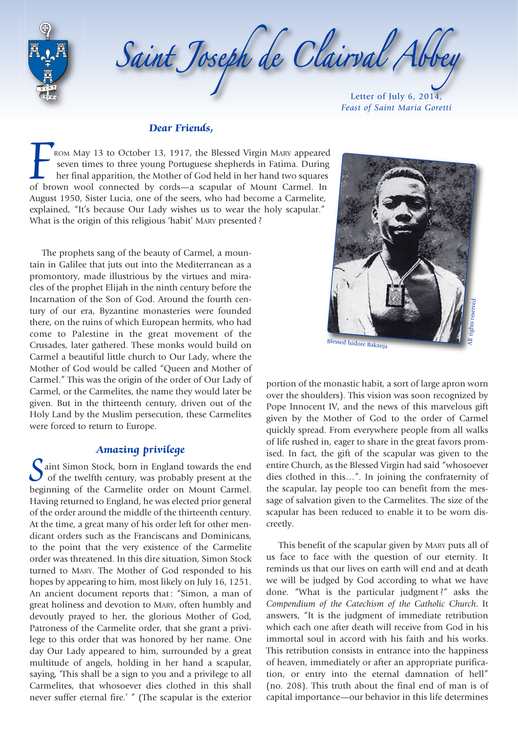

#### **Dear Friends,**

**FROM May 13 to October 13, 1917, the Blessed Virgin MARY appeared**<br>**FROM May 13 to October 13, 1917, the Blessed Virgin MARY appeared**<br>**FROM May 13 to October 13, 1917, the Blessed Virgin MARY appeared**<br>**FROM May 13 to Oc** seven times to three young Portuguese shepherds in Fatima. During her final apparition, the Mother of God held in her hand two squares of brown wool connected by cords—a scapular of Mount Carmel. In August 1950, Sister Lucia, one of the seers, who had become a Carmelite, explained, "It's because Our Lady wishes us to wear the holy scapular." What is the origin of this religious 'habit' MARY presented ?

The prophets sang of the beauty of Carmel, a mountain in Galilee that juts out into the Mediterranean as a promontory, made illustrious by the virtues and miracles of the prophet Elijah in the ninth century before the Incarnation of the Son of God. Around the fourth century of our era, Byzantine monasteries were founded there, on the ruins of which European hermits, who had come to Palestine in the great movement of the Crusades, later gathered. These monks would build on Carmel a beautiful little church to Our Lady, where the Mother of God would be called "Queen and Mother of Carmel." This was the origin of the order of Our Lady of Carmel, or the Carmelites, the name they would later be given. But in the thirteenth century, driven out of the Holy Land by the Muslim persecution, these Carmelites were forced to return to Europe.

### **Amazing privilege**

**C**aint Simon Stock, born in England towards the end of the twelfth century, was probably present at the beginning of the Carmelite order on Mount Carmel. Having returned to England, he was elected prior general of the order around the middle of the thirteenth century. At the time, a great many of his order left for other mendicant orders such as the Franciscans and Dominicans, to the point that the very existence of the Carmelite order was threatened. In this dire situation, Simon Stock turned to MARY. The Mother of God responded to his hopes by appearing to him, most likely on July 16, 1251. An ancient document reports that: "Simon, a man of great holiness and devotion to MARY, often humbly and devoutly prayed to her, the glorious Mother of God, Patroness of the Carmelite order, that she grant a privilege to this order that was honored by her name. One day Our Lady appeared to him, surrounded by a great multitude of angels, holding in her hand a scapular, saying, 'This shall be a sign to you and a privilege to all Carmelites, that whosoever dies clothed in this shall never suffer eternal fire.' " (The scapular is the exterior



portion of the monastic habit, a sort of large apron worn over the shoulders). This vision was soon recognized by Pope Innocent IV, and the news of this marvelous gift given by the Mother of God to the order of Carmel quickly spread. From everywhere people from all walks of life rushed in, eager to share in the great favors promised. In fact, the gift of the scapular was given to the entire Church, as the Blessed Virgin had said "whosoever dies clothed in this…". In joining the confraternity of the scapular, lay people too can benefit from the message of salvation given to the Carmelites. The size of the scapular has been reduced to enable it to be worn discreetly.

This benefit of the scapular given by MARY puts all of us face to face with the question of our eternity. It reminds us that our lives on earth will end and at death we will be judged by God according to what we have done. "What is the particular judgment ?" asks the *Compendium of the Catechism of the Catholic Church*. It answers, "It is the judgment of immediate retribution which each one after death will receive from God in his immortal soul in accord with his faith and his works. This retribution consists in entrance into the happiness of heaven, immediately or after an appropriate purification, or entry into the eternal damnation of hell" (no. 208). This truth about the final end of man is of capital importance—our behavior in this life determines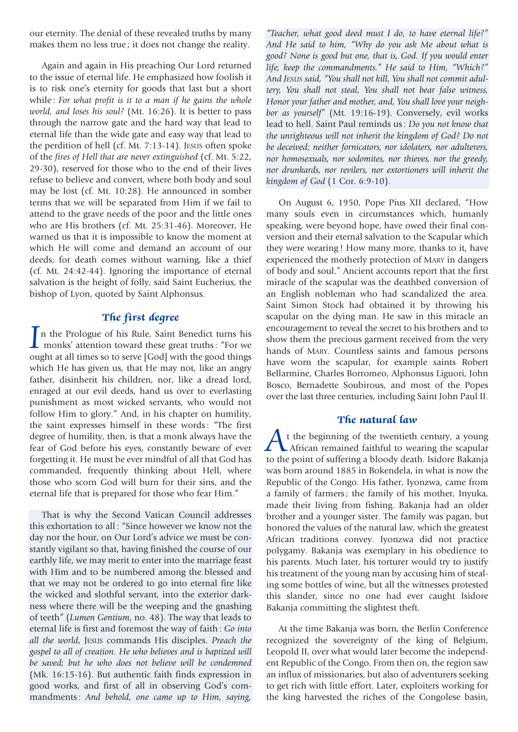our eternity. The denial of these revealed truths by many makes them no less true; it does not change the reality.

Again and again in His preaching Our Lord returned to the issue of eternal life. He emphasized how foolish it is to risk one's eternity for goods that last but a short while : *For what profit is it to a man if he gains the whole world, and loses his soul?* (Mt. 16:26). It is better to pass through the narrow gate and the hard way that lead to eternal life than the wide gate and easy way that lead to the perdition of hell (cf. Mt. 7:13-14). JESUS often spoke of the *fires of Hell that are never extinguished* (cf. Mt. 5:22, 29-30), reserved for those who to the end of their lives refuse to believe and convert, where both body and soul may be lost (cf. Mt. 10:28). He announced in somber terms that we will be separated from Him if we fail to attend to the grave needs of the poor and the little ones who are His brothers (cf. Mt. 25:31-46). Moreover, He warned us that it is impossible to know the moment at which He will come and demand an account of our deeds, for death comes without warning, like a thief (cf. Mt. 24:42-44). Ignoring the importance of eternal salvation is the height of folly, said Saint Eucherius, the bishop of Lyon, quoted by Saint Alphonsus.

## **The first degree**

**The first degree**<br>
In the Prologue of his Rule, Saint Benedict turns his<br>
monks' attention toward these great truths : "For we ought at all times so to serve [God] with the good things which He has given us, that He may not, like an angry father, disinherit his children, nor, like a dread lord, enraged at our evil deeds, hand us over to everlasting punishment as most wicked servants, who would not follow Him to glory." And, in his chapter on humility, the saint expresses himself in these words : "The first degree of humility, then, is that a monk always have the fear of God before his eyes, constantly beware of ever forgetting it. He must be ever mindful of all that God has commanded, frequently thinking about Hell, where those who scorn God will burn for their sins, and the eternal life that is prepared for those who fear Him."

That is why the Second Vatican Council addresses this exhortation to all : "Since however we know not the day nor the hour, on Our Lord's advice we must be constantly vigilant so that, having finished the course of our earthly life, we may merit to enter into the marriage feast with Him and to be numbered among the blessed and that we may not be ordered to go into eternal fire like the wicked and slothful servant, into the exterior darkness where there will be the weeping and the gnashing of teeth" (*Lumen Gentium*, no. 48). The way that leads to eternal life is first and foremost the way of faith : *Go into all the world*, JESUS commands His disciples. *Preach the gospel to all of creation. He who believes and is baptized will be saved; but he who does not believe will be condemned* (Mk. 16:15-16). But authentic faith finds expression in good works, and first of all in observing God's commandments : *And behold, one came up to Him, saying,*

*"Teacher, what good deed must I do, to have eternal life?" And He said to him, "Why do you ask Me about what is good? None is good but one, that is, God. If you would enter life, keep the commandments." He said to Him, "Which?" And JESUS said, "You shall not kill, You shall not commit adultery, You shall not steal, You shall not bear false witness, Honor your father and mother, and, You shall love your neighbor as yourself"* (Mt. 19:16-19). Conversely, evil works lead to hell. Saint Paul reminds us : *Do you not know that the unrighteous will not inherit the kingdom of God? Do not be deceived; neither fornicators, nor idolaters, nor adulterers, nor homosexuals, nor sodomites, nor thieves, nor the greedy, nor drunkards, nor revilers, nor extortioners will inherit the kingdom of God* (1 Cor. 6:9-10).

On August 6, 1950, Pope Pius XII declared, "How many souls even in circumstances which, humanly speaking, were beyond hope, have owed their final conversion and their eternal salvation to the Scapular which they were wearing ! How many more, thanks to it, have experienced the motherly protection of MARY in dangers of body and soul." Ancient accounts report that the first miracle of the scapular was the deathbed conversion of an English nobleman who had scandalized the area. Saint Simon Stock had obtained it by throwing his scapular on the dying man. He saw in this miracle an encouragement to reveal the secret to his brothers and to show them the precious garment received from the very hands of MARY. Countless saints and famous persons have worn the scapular, for example saints Robert Bellarmine, Charles Borromeo, Alphonsus Liguori, John Bosco, Bernadette Soubirous, and most of the Popes over the last three centuries, including Saint John Paul II.

### **The natural law**

At the beginning of the twentieth century, a young African remained faithful to wearing the scapular to the point of suffering a bloody death. Isidore Bakanja was born around 1885 in Bokendela, in what is now the Republic of the Congo. His father, Iyonzwa, came from a family of farmers ; the family of his mother, Inyuka, made their living from fishing. Bakanja had an older brother and a younger sister. The family was pagan, but honored the values of the natural law, which the greatest African traditions convey. Iyonzwa did not practice polygamy. Bakanja was exemplary in his obedience to his parents. Much later, his torturer would try to justify his treatment of the young man by accusing him of stealing some bottles of wine, but all the witnesses protested this slander, since no one had ever caught Isidore Bakanja committing the slightest theft.

At the time Bakanja was born, the Berlin Conference recognized the sovereignty of the king of Belgium, Leopold II, over what would later become the independent Republic of the Congo. From then on, the region saw an influx of missionaries, but also of adventurers seeking to get rich with little effort. Later, exploiters working for the king harvested the riches of the Congolese basin,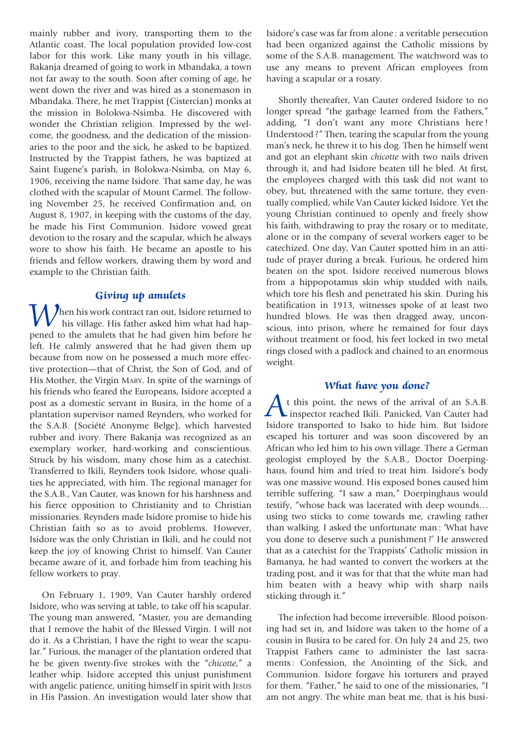mainly rubber and ivory, transporting them to the Atlantic coast. The local population provided low-cost labor for this work. Like many youth in his village, Bakanja dreamed of going to work in Mbandaka, a town not far away to the south. Soon after coming of age, he went down the river and was hired as a stonemason in Mbandaka. There, he met Trappist (Cistercian) monks at the mission in Bolokwa-Nsimba. He discovered with wonder the Christian religion. Impressed by the welcome, the goodness, and the dedication of the missionaries to the poor and the sick, he asked to be baptized. Instructed by the Trappist fathers, he was baptized at Saint Eugene's parish, in Bolokwa-Nsimba, on May 6, 1906, receiving the name Isidore. That same day, he was clothed with the scapular of Mount Carmel. The following November 25, he received Confirmation and, on August 8, 1907, in keeping with the customs of the day, he made his First Communion. Isidore vowed great devotion to the rosary and the scapular, which he always wore to show his faith. He became an apostle to his friends and fellow workers, drawing them by word and example to the Christian faith.

### **Giving up amulets**

**A** hen his work contract ran out, Isidore returned to his village. His father asked him what had happened to the amulets that he had given him before he left. He calmly answered that he had given them up because from now on he possessed a much more effective protection—that of Christ, the Son of God, and of His Mother, the Virgin MARY. In spite of the warnings of his friends who feared the Europeans, Isidore accepted a post as a domestic servant in Busira, in the home of a plantation supervisor named Reynders, who worked for the S.A.B. (Société Anonyme Belge), which harvested rubber and ivory. There Bakanja was recognized as an exemplary worker, hard-working and conscientious. Struck by his wisdom, many chose him as a catechist. Transferred to Ikili, Reynders took Isidore, whose qualities he appreciated, with him. The regional manager for the S.A.B., Van Cauter, was known for his harshness and his fierce opposition to Christianity and to Christian missionaries. Reynders made Isidore promise to hide his Christian faith so as to avoid problems. However, Isidore was the only Christian in Ikili, and he could not keep the joy of knowing Christ to himself. Van Cauter became aware of it, and forbade him from teaching his fellow workers to pray.

On February 1, 1909, Van Cauter harshly ordered Isidore, who was serving at table, to take off his scapular. The young man answered, "Master, you are demanding that I remove the habit of the Blessed Virgin. I will not do it. As a Christian, I have the right to wear the scapular." Furious, the manager of the plantation ordered that he be given twenty-five strokes with the "*chicotte*," a leather whip. Isidore accepted this unjust punishment with angelic patience, uniting himself in spirit with JESUS in His Passion. An investigation would later show that

Isidore's case was far from alone : a veritable persecution had been organized against the Catholic missions by some of the S.A.B. management. The watchword was to use any means to prevent African employees from having a scapular or a rosary.

Shortly thereafter, Van Cauter ordered Isidore to no longer spread "the garbage learned from the Fathers," adding, "I don't want any more Christians here ! Understood ?" Then, tearing the scapular from the young man's neck, he threw it to his dog. Then he himself went and got an elephant skin *chicotte* with two nails driven through it, and had Isidore beaten till he bled. At first, the employees charged with this task did not want to obey, but, threatened with the same torture, they eventually complied, while Van Cauter kicked Isidore. Yet the young Christian continued to openly and freely show his faith, withdrawing to pray the rosary or to meditate, alone or in the company of several workers eager to be catechized. One day, Van Cauter spotted him in an attitude of prayer during a break. Furious, he ordered him beaten on the spot. Isidore received numerous blows from a hippopotamus skin whip studded with nails, which tore his flesh and penetrated his skin. During his beatification in 1913, witnesses spoke of at least two hundred blows. He was then dragged away, unconscious, into prison, where he remained for four days without treatment or food, his feet locked in two metal rings closed with a padlock and chained to an enormous weight.

## **What have you done?**

What have you done?<br>
A t this point, the news of the arrival of an S.A.B.<br>
inspector reached Ikili. Panicked, Van Cauter had Isidore transported to Isako to hide him. But Isidore escaped his torturer and was soon discovered by an African who led him to his own village. There a German geologist employed by the S.A.B., Doctor Doerpinghaus, found him and tried to treat him. Isidore's body was one massive wound. His exposed bones caused him terrible suffering. "I saw a man," Doerpinghaus would testify, "whose back was lacerated with deep wounds… using two sticks to come towards me, crawling rather than walking. I asked the unfortunate man : 'What have you done to deserve such a punishment ?' He answered that as a catechist for the Trappists' Catholic mission in Bamanya, he had wanted to convert the workers at the trading post, and it was for that that the white man had him beaten with a heavy whip with sharp nails sticking through it."

The infection had become irreversible. Blood poisoning had set in, and Isidore was taken to the home of a cousin in Busira to be cared for. On July 24 and 25, two Trappist Fathers came to administer the last sacraments : Confession, the Anointing of the Sick, and Communion. Isidore forgave his torturers and prayed for them. "Father," he said to one of the missionaries, "I am not angry. The white man beat me, that is his busi